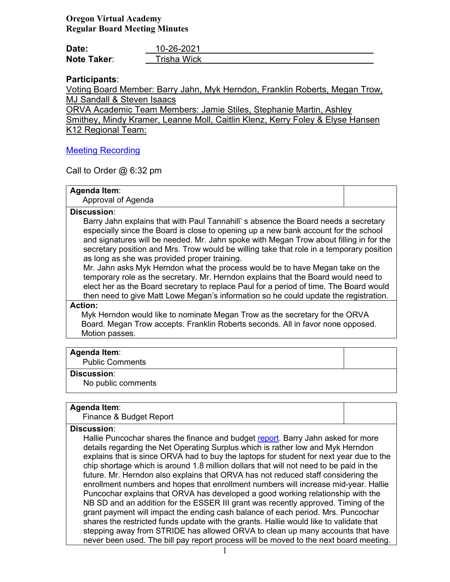# **Oregon Virtual Academy Regular Board Meeting Minutes**

| Date:       | 10-26-2021  |
|-------------|-------------|
| Note Taker: | Trisha Wick |

# **Participants**:

Voting Board Member: Barry Jahn, Myk Herndon, Franklin Roberts, Megan Trow, MJ Sandall & Steven Isaacs

ORVA Academic Team Members: Jamie Stiles, Stephanie Martin, Ashley Smithey, Mindy Kramer, Leanne Moll, Caitlin Klenz, Kerry Foley & Elyse Hansen K12 Regional Team:

## [Meeting Recording](https://k12inc-my.sharepoint.com/:v:/g/personal/twick_oregonva_org/EfvIo3lFFLlPoiAUoY09YG0BEhmI0rgXQklPmIn2miG0Jw)

Call to Order  $@6:32$  pm

## **Agenda Item**:

Approval of Agenda

### **Discussion**:

Barry Jahn explains that with Paul Tannahill' s absence the Board needs a secretary especially since the Board is close to opening up a new bank account for the school and signatures will be needed. Mr. Jahn spoke with Megan Trow about filling in for the secretary position and Mrs. Trow would be willing take that role in a temporary position as long as she was provided proper training.

Mr. Jahn asks Myk Herndon what the process would be to have Megan take on the temporary role as the secretary. Mr. Herndon explains that the Board would need to elect her as the Board secretary to replace Paul for a period of time. The Board would then need to give Matt Lowe Megan's information so he could update the registration.

### **Action:**

 Myk Herndon would like to nominate Megan Trow as the secretary for the ORVA Board. Megan Trow accepts. Franklin Roberts seconds. All in favor none opposed. Motion passes.

### **Agenda Item**:

Public Comments

### **Discussion**:

No public comments

### **Agenda Item**:

Finance & Budget Report

### **Discussion**:

Hallie Puncochar shares the finance and budget [report.](https://k12inc-my.sharepoint.com/:p:/g/personal/twick_oregonva_org/Ed9LxOZN2vhLsfKR5zesjsUBj0oRpn6ccyB6vdxvt7yC8Q) Barry Jahn asked for more details regarding the Net Operating Surplus which is rather low and Myk Herndon explains that is since ORVA had to buy the laptops for student for next year due to the chip shortage which is around 1.8 million dollars that will not need to be paid in the future. Mr. Herndon also explains that ORVA has not reduced staff considering the enrollment numbers and hopes that enrollment numbers will increase mid-year. Hallie Puncochar explains that ORVA has developed a good working relationship with the NB SD and an addition for the ESSER III grant was recently approved. Timing of the grant payment will impact the ending cash balance of each period. Mrs. Puncochar shares the restricted funds update with the grants. Hallie would like to validate that stepping away from STRIDE has allowed ORVA to clean up many accounts that have never been used. The bill pay report process will be moved to the next board meeting.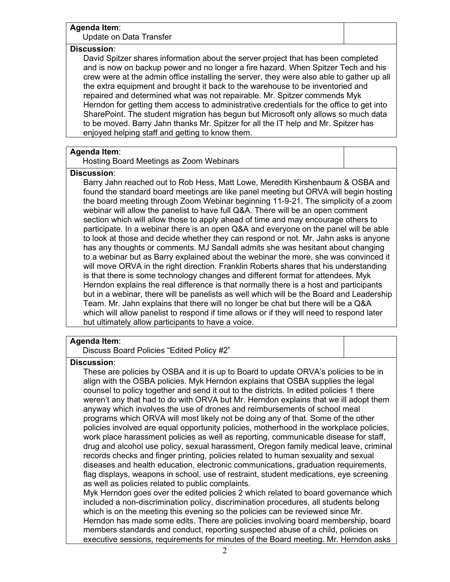## **Agenda Item**:

Update on Data Transfer

#### **Discussion**:

David Spitzer shares information about the server project that has been completed and is now on backup power and no longer a fire hazard. When Spitzer Tech and his crew were at the admin office installing the server, they were also able to gather up all the extra equipment and brought it back to the warehouse to be inventoried and repaired and determined what was not repairable. Mr. Spitzer commends Myk Herndon for getting them access to administrative credentials for the office to get into SharePoint. The student migration has begun but Microsoft only allows so much data to be moved. Barry Jahn thanks Mr. Spitzer for all the IT help and Mr. Spitzer has enjoyed helping staff and getting to know them.

## **Agenda Item**:

Hosting Board Meetings as Zoom Webinars

#### **Discussion**:

Barry Jahn reached out to Rob Hess, Matt Lowe, Meredith Kirshenbaum & OSBA and found the standard board meetings are like panel meeting but ORVA will begin hosting the board meeting through Zoom Webinar beginning 11-9-21. The simplicity of a zoom webinar will allow the panelist to have full Q&A. There will be an open comment section which will allow those to apply ahead of time and may encourage others to participate. In a webinar there is an open Q&A and everyone on the panel will be able to look at those and decide whether they can respond or not. Mr. Jahn asks is anyone has any thoughts or comments. MJ Sandall admits she was hesitant about changing to a webinar but as Barry explained about the webinar the more, she was convinced it will move ORVA in the right direction. Franklin Roberts shares that his understanding is that there is some technology changes and different format for attendees. Myk Herndon explains the real difference is that normally there is a host and participants but in a webinar, there will be panelists as well which will be the Board and Leadership Team. Mr. Jahn explains that there will no longer be chat but there will be a Q&A which will allow panelist to respond if time allows or if they will need to respond later but ultimately allow participants to have a voice.

## **Agenda Item**:

Discuss Board Policies "Edited Policy #2"

### **Discussion**:

These are policies by OSBA and it is up to Board to update ORVA's policies to be in align with the OSBA policies. Myk Herndon explains that OSBA supplies the legal counsel to policy together and send it out to the districts. In edited policies 1 there weren't any that had to do with ORVA but Mr. Herndon explains that we ill adopt them anyway which involves the use of drones and reimbursements of school meal programs which ORVA will most likely not be doing any of that. Some of the other policies involved are equal opportunity policies, motherhood in the workplace policies, work place harassment policies as well as reporting, communicable disease for staff, drug and alcohol use policy, sexual harassment, Oregon family medical leave, criminal records checks and finger printing, policies related to human sexuality and sexual diseases and health education, electronic communications, graduation requirements, flag displays, weapons in school, use of restraint, student medications, eye screening as well as policies related to public complaints.

Myk Herndon goes over the edited policies 2 which related to board governance which included a non-discrimination policy, discrimination procedures, all students belong which is on the meeting this evening so the policies can be reviewed since Mr. Herndon has made some edits. There are policies involving board membership, board members standards and conduct, reporting suspected abuse of a child, policies on executive sessions, requirements for minutes of the Board meeting. Mr. Herndon asks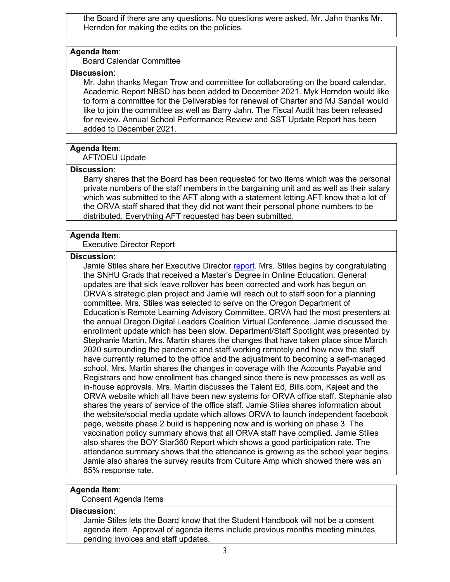the Board if there are any questions. No questions were asked. Mr. Jahn thanks Mr. Herndon for making the edits on the policies.

#### **Agenda Item**:

Board Calendar Committee

## **Discussion**:

Mr. Jahn thanks Megan Trow and committee for collaborating on the board calendar. Academic Report NBSD has been added to December 2021. Myk Herndon would like to form a committee for the Deliverables for renewal of Charter and MJ Sandall would like to join the committee as well as Barry Jahn. The Fiscal Audit has been released for review. Annual School Performance Review and SST Update Report has been added to December 2021.

#### **Agenda Item**:

AFT/OEU Update

#### **Discussion**:

Barry shares that the Board has been requested for two items which was the personal private numbers of the staff members in the bargaining unit and as well as their salary which was submitted to the AFT along with a statement letting AFT know that a lot of the ORVA staff shared that they did not want their personal phone numbers to be distributed. Everything AFT requested has been submitted.

## **Agenda Item**:

Executive Director Report

#### **Discussion**:

Jamie Stiles share her Executive Director [report.](https://k12inc-my.sharepoint.com/:p:/g/personal/twick_oregonva_org/ESjpXJZIKbhCh-uob-6fZwkBhBzKPpN0pSgZ28mEqOHHeg) Mrs. Stiles begins by congratulating the SNHU Grads that received a Master's Degree in Online Education. General updates are that sick leave rollover has been corrected and work has begun on ORVA's strategic plan project and Jamie will reach out to staff soon for a planning committee. Mrs. Stiles was selected to serve on the Oregon Department of Education's Remote Learning Advisory Committee. ORVA had the most presenters at the annual Oregon Digital Leaders Coalition Virtual Conference. Jamie discussed the enrollment update which has been slow. Department/Staff Spotlight was presented by Stephanie Martin. Mrs. Martin shares the changes that have taken place since March 2020 surrounding the pandemic and staff working remotely and how now the staff have currently returned to the office and the adjustment to becoming a self-managed school. Mrs. Martin shares the changes in coverage with the Accounts Payable and Registrars and how enrollment has changed since there is new processes as well as in-house approvals. Mrs. Martin discusses the Talent Ed, Bills.com, Kajeet and the ORVA website which all have been new systems for ORVA office staff. Stephanie also shares the years of service of the office staff. Jamie Stiles shares information about the website/social media update which allows ORVA to launch independent facebook page, website phase 2 build is happening now and is working on phase 3. The vaccination policy summary shows that all ORVA staff have complied. Jamie Stiles also shares the BOY Star360 Report which shows a good participation rate. The attendance summary shows that the attendance is growing as the school year begins. Jamie also shares the survey results from Culture Amp which showed there was an 85% response rate.

### **Agenda Item**:

Consent Agenda Items

#### **Discussion**:

Jamie Stiles lets the Board know that the Student Handbook will not be a consent agenda item. Approval of agenda items include previous months meeting minutes, pending invoices and staff updates.